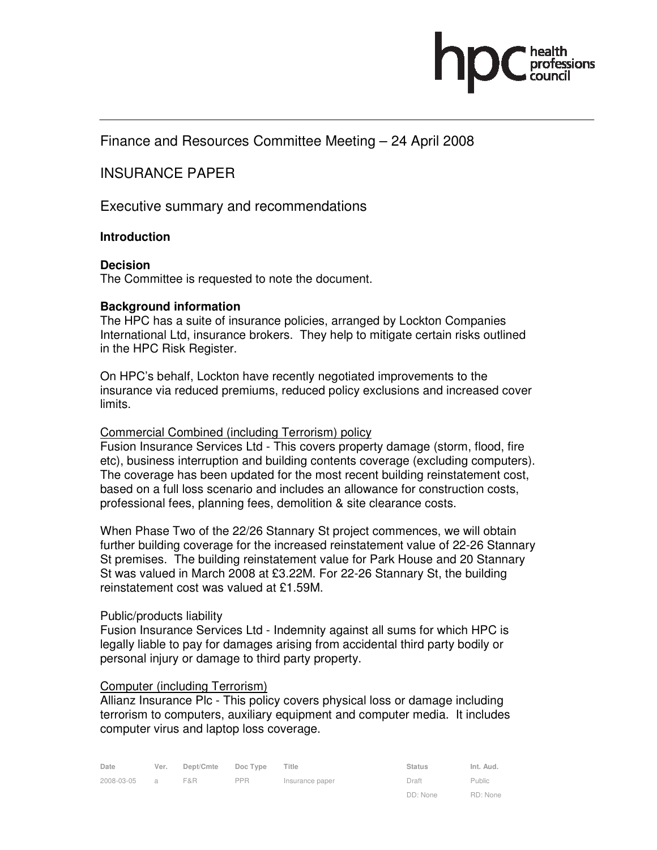# Finance and Resources Committee Meeting – 24 April 2008

INSURANCE PAPER

Executive summary and recommendations

### **Introduction**

## **Decision**

The Committee is requested to note the document.

### **Background information**

The HPC has a suite of insurance policies, arranged by Lockton Companies International Ltd, insurance brokers. They help to mitigate certain risks outlined in the HPC Risk Register.

On HPC's behalf, Lockton have recently negotiated improvements to the insurance via reduced premiums, reduced policy exclusions and increased cover limits.

### Commercial Combined (including Terrorism) policy

Fusion Insurance Services Ltd - This covers property damage (storm, flood, fire etc), business interruption and building contents coverage (excluding computers). The coverage has been updated for the most recent building reinstatement cost, based on a full loss scenario and includes an allowance for construction costs, professional fees, planning fees, demolition & site clearance costs.

When Phase Two of the 22/26 Stannary St project commences, we will obtain further building coverage for the increased reinstatement value of 22-26 Stannary St premises. The building reinstatement value for Park House and 20 Stannary St was valued in March 2008 at £3.22M. For 22-26 Stannary St, the building reinstatement cost was valued at £1.59M.

### Public/products liability

Fusion Insurance Services Ltd - Indemnity against all sums for which HPC is legally liable to pay for damages arising from accidental third party bodily or personal injury or damage to third party property.

### Computer (including Terrorism)

Allianz Insurance Plc - This policy covers physical loss or damage including terrorism to computers, auxiliary equipment and computer media. It includes computer virus and laptop loss coverage.

| Date       | Ver.           | Dept/Cmte | Doc Type   | Title           | <b>Status</b> | Int. Aud. |
|------------|----------------|-----------|------------|-----------------|---------------|-----------|
| 2008-03-05 | $\overline{a}$ | F&R       | <b>PPR</b> | Insurance paper | Draft         | Public    |
|            |                |           |            |                 | DD: None      | RD: None  |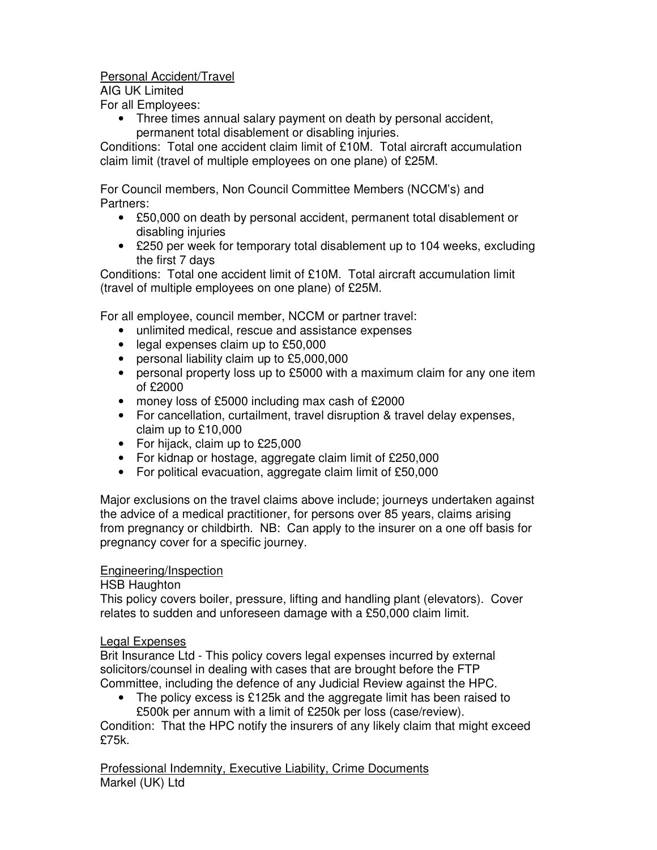# Personal Accident/Travel

AIG UK Limited

For all Employees:

• Three times annual salary payment on death by personal accident, permanent total disablement or disabling injuries.

Conditions: Total one accident claim limit of £10M. Total aircraft accumulation claim limit (travel of multiple employees on one plane) of £25M.

For Council members, Non Council Committee Members (NCCM's) and Partners:

- £50,000 on death by personal accident, permanent total disablement or disabling injuries
- £250 per week for temporary total disablement up to 104 weeks, excluding the first 7 days

Conditions: Total one accident limit of £10M. Total aircraft accumulation limit (travel of multiple employees on one plane) of £25M.

For all employee, council member, NCCM or partner travel:

- unlimited medical, rescue and assistance expenses
- legal expenses claim up to £50,000
- personal liability claim up to £5,000,000
- personal property loss up to £5000 with a maximum claim for any one item of £2000
- money loss of £5000 including max cash of £2000
- For cancellation, curtailment, travel disruption & travel delay expenses, claim up to £10,000
- For hijack, claim up to £25,000
- For kidnap or hostage, aggregate claim limit of £250,000
- For political evacuation, aggregate claim limit of £50,000

Major exclusions on the travel claims above include; journeys undertaken against the advice of a medical practitioner, for persons over 85 years, claims arising from pregnancy or childbirth. NB: Can apply to the insurer on a one off basis for pregnancy cover for a specific journey.

# Engineering/Inspection

HSB Haughton

This policy covers boiler, pressure, lifting and handling plant (elevators). Cover relates to sudden and unforeseen damage with a £50,000 claim limit.

# Legal Expenses

Brit Insurance Ltd - This policy covers legal expenses incurred by external solicitors/counsel in dealing with cases that are brought before the FTP Committee, including the defence of any Judicial Review against the HPC.

The policy excess is £125k and the aggregate limit has been raised to £500k per annum with a limit of £250k per loss (case/review).

Condition: That the HPC notify the insurers of any likely claim that might exceed £75k.

Professional Indemnity, Executive Liability, Crime Documents Markel (UK) Ltd